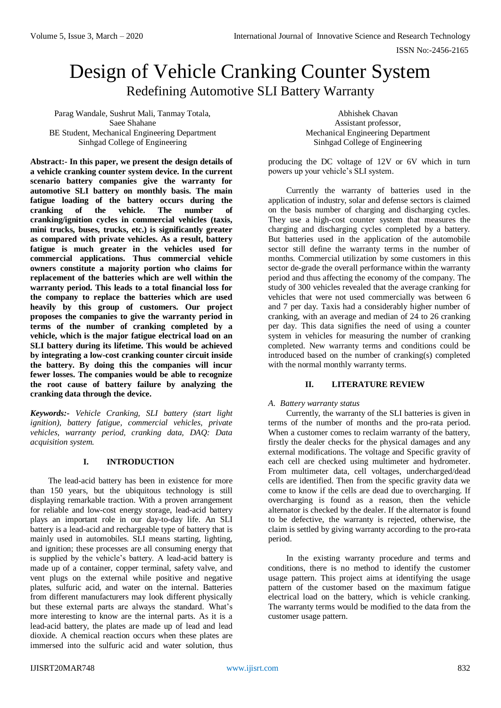# Design of Vehicle Cranking Counter System Redefining Automotive SLI Battery Warranty

Parag Wandale, Sushrut Mali, Tanmay Totala, Saee Shahane BE Student, Mechanical Engineering Department Sinhgad College of Engineering

**Abstract:- In this paper, we present the design details of a vehicle cranking counter system device. In the current scenario battery companies give the warranty for automotive SLI battery on monthly basis. The main fatigue loading of the battery occurs during the cranking of the vehicle. The number of cranking/ignition cycles in commercial vehicles (taxis, mini trucks, buses, trucks, etc.) is significantly greater as compared with private vehicles. As a result, battery fatigue is much greater in the vehicles used for commercial applications. Thus commercial vehicle owners constitute a majority portion who claims for replacement of the batteries which are well within the warranty period. This leads to a total financial loss for the company to replace the batteries which are used heavily by this group of customers. Our project proposes the companies to give the warranty period in terms of the number of cranking completed by a vehicle, which is the major fatigue electrical load on an SLI battery during its lifetime. This would be achieved by integrating a low-cost cranking counter circuit inside the battery. By doing this the companies will incur fewer losses. The companies would be able to recognize the root cause of battery failure by analyzing the cranking data through the device.**

*Keywords:- Vehicle Cranking, SLI battery (start light ignition), battery fatigue, commercial vehicles, private vehicles, warranty period, cranking data, DAQ: Data acquisition system.*

# **I. INTRODUCTION**

The lead-acid battery has been in existence for more than 150 years, but the ubiquitous technology is still displaying remarkable traction. With a proven arrangement for reliable and low-cost energy storage, lead-acid battery plays an important role in our day-to-day life. An SLI battery is a lead-acid and rechargeable type of battery that is mainly used in automobiles. SLI means starting, lighting, and ignition; these processes are all consuming energy that is supplied by the vehicle's battery. A lead-acid battery is made up of a container, copper terminal, safety valve, and vent plugs on the external while positive and negative plates, sulfuric acid, and water on the internal. Batteries from different manufacturers may look different physically but these external parts are always the standard. What's more interesting to know are the internal parts. As it is a lead-acid battery, the plates are made up of lead and lead dioxide. A chemical reaction occurs when these plates are immersed into the sulfuric acid and water solution, thus

Abhishek Chavan Assistant professor, Mechanical Engineering Department Sinhgad College of Engineering

producing the DC voltage of 12V or 6V which in turn powers up your vehicle's SLI system.

Currently the warranty of batteries used in the application of industry, solar and defense sectors is claimed on the basis number of charging and discharging cycles. They use a high-cost counter system that measures the charging and discharging cycles completed by a battery. But batteries used in the application of the automobile sector still define the warranty terms in the number of months. Commercial utilization by some customers in this sector de-grade the overall performance within the warranty period and thus affecting the economy of the company. The study of 300 vehicles revealed that the average cranking for vehicles that were not used commercially was between 6 and 7 per day. Taxis had a considerably higher number of cranking, with an average and median of 24 to 26 cranking per day. This data signifies the need of using a counter system in vehicles for measuring the number of cranking completed. New warranty terms and conditions could be introduced based on the number of cranking(s) completed with the normal monthly warranty terms.

# **II. LITERATURE REVIEW**

# *A. Battery warranty status*

Currently, the warranty of the SLI batteries is given in terms of the number of months and the pro-rata period. When a customer comes to reclaim warranty of the battery, firstly the dealer checks for the physical damages and any external modifications. The voltage and Specific gravity of each cell are checked using multimeter and hydrometer. From multimeter data, cell voltages, undercharged/dead cells are identified. Then from the specific gravity data we come to know if the cells are dead due to overcharging. If overcharging is found as a reason, then the vehicle alternator is checked by the dealer. If the alternator is found to be defective, the warranty is rejected, otherwise, the claim is settled by giving warranty according to the pro-rata period.

In the existing warranty procedure and terms and conditions, there is no method to identify the customer usage pattern. This project aims at identifying the usage pattern of the customer based on the maximum fatigue electrical load on the battery, which is vehicle cranking. The warranty terms would be modified to the data from the customer usage pattern.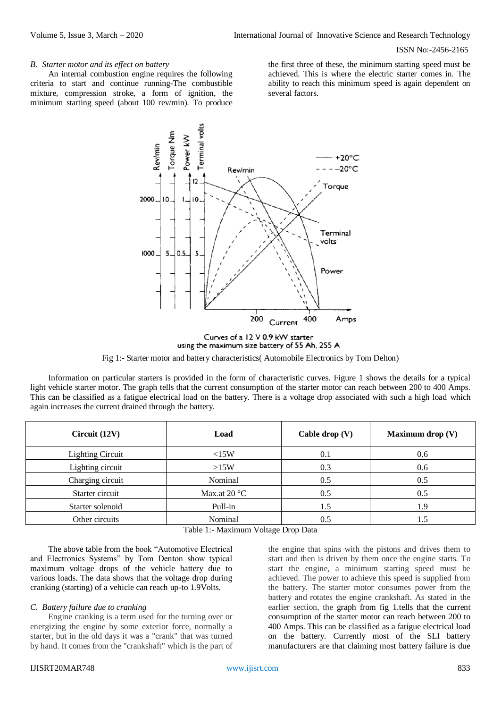#### *B. Starter motor and its effect on battery*

An internal combustion engine requires the following criteria to start and continue running-The combustible mixture, compression stroke, a form of ignition, the minimum starting speed (about 100 rev/min). To produce the first three of these, the minimum starting speed must be achieved. This is where the electric starter comes in. The ability to reach this minimum speed is again dependent on several factors.



Curves of a 12 V 0.9 kW starter using the maximum size battery of 55 Ah, 255 A

Fig 1:- Starter motor and battery characteristics( Automobile Electronics by Tom Delton)

Information on particular starters is provided in the form of characteristic curves. Figure 1 shows the details for a typical light vehicle starter motor. The graph tells that the current consumption of the starter motor can reach between 200 to 400 Amps. This can be classified as a fatigue electrical load on the battery. There is a voltage drop associated with such a high load which again increases the current drained through the battery.

| Circuit $(12V)$                    | Load                  | Cable drop $(V)$ | <b>Maximum drop</b> (V) |  |
|------------------------------------|-----------------------|------------------|-------------------------|--|
| <b>Lighting Circuit</b>            | <15W                  | 0.1              | 0.6                     |  |
| Lighting circuit                   | >15W                  | 0.3              | 0.6                     |  |
| Charging circuit                   | Nominal               | 0.5              | 0.5                     |  |
| Starter circuit                    | Max.at $20^{\circ}$ C | 0.5              | 0.5                     |  |
| Starter solenoid                   | Pull-in               | 1.5              | 1.9                     |  |
| Other circuits                     | Nominal               | 0.5              | 1.5                     |  |
| Table 1: Maximum Voltage Drop Data |                       |                  |                         |  |

The above table from the book "Automotive Electrical and Electronics Systems" by Tom Denton show typical maximum voltage drops of the vehicle battery due to various loads. The data shows that the voltage drop during cranking (starting) of a vehicle can reach up-to 1.9Volts.

#### *C. Battery failure due to cranking*

Engine cranking is a term used for the turning over or energizing the engine by some exterior force, normally a starter, but in the old days it was a "crank" that was turned by hand. It comes from the "crankshaft" which is the part of

the engine that spins with the pistons and drives them to start and then is driven by them once the engine starts. To start the engine, a minimum starting speed must be achieved. The power to achieve this speed is supplied from the battery. The starter motor consumes power from the battery and rotates the engine crankshaft. As stated in the earlier section, the graph from fig 1.tells that the current consumption of the starter motor can reach between 200 to 400 Amps. This can be classified as a fatigue electrical load on the battery. Currently most of the SLI battery manufacturers are that claiming most battery failure is due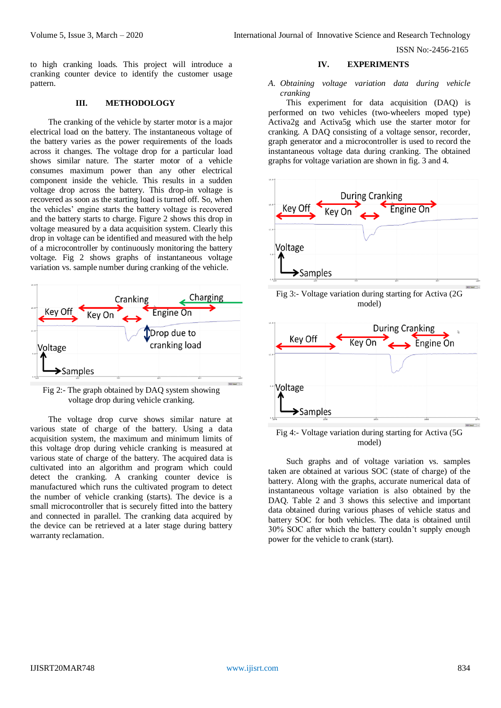to high cranking loads. This project will introduce a cranking counter device to identify the customer usage pattern.

## **III. METHODOLOGY**

The cranking of the vehicle by starter motor is a major electrical load on the battery. The instantaneous voltage of the battery varies as the power requirements of the loads across it changes. The voltage drop for a particular load shows similar nature. The starter motor of a vehicle consumes maximum power than any other electrical component inside the vehicle. This results in a sudden voltage drop across the battery. This drop-in voltage is recovered as soon as the starting load is turned off. So, when the vehicles' engine starts the battery voltage is recovered and the battery starts to charge. Figure 2 shows this drop in voltage measured by a data acquisition system. Clearly this drop in voltage can be identified and measured with the help of a microcontroller by continuously monitoring the battery voltage. Fig 2 shows graphs of instantaneous voltage variation vs. sample number during cranking of the vehicle.



Fig 2:- The graph obtained by DAQ system showing voltage drop during vehicle cranking.

The voltage drop curve shows similar nature at various state of charge of the battery. Using a data acquisition system, the maximum and minimum limits of this voltage drop during vehicle cranking is measured at various state of charge of the battery. The acquired data is cultivated into an algorithm and program which could detect the cranking. A cranking counter device is manufactured which runs the cultivated program to detect the number of vehicle cranking (starts). The device is a small microcontroller that is securely fitted into the battery and connected in parallel. The cranking data acquired by the device can be retrieved at a later stage during battery warranty reclamation.

#### **IV. EXPERIMENTS**

#### *A. Obtaining voltage variation data during vehicle cranking*

This experiment for data acquisition (DAQ) is performed on two vehicles (two-wheelers moped type) Activa2g and Activa5g which use the starter motor for cranking. A DAQ consisting of a voltage sensor, recorder, graph generator and a microcontroller is used to record the instantaneous voltage data during cranking. The obtained graphs for voltage variation are shown in fig. 3 and 4.







Fig 4:- Voltage variation during starting for Activa (5G model)

Such graphs and of voltage variation vs. samples taken are obtained at various SOC (state of charge) of the battery. Along with the graphs, accurate numerical data of instantaneous voltage variation is also obtained by the DAQ. Table 2 and 3 shows this selective and important data obtained during various phases of vehicle status and battery SOC for both vehicles. The data is obtained until 30% SOC after which the battery couldn't supply enough power for the vehicle to crank (start).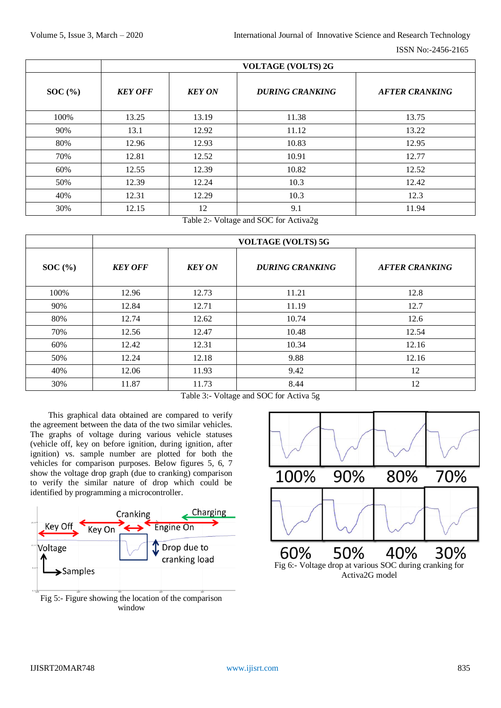|        | <b>VOLTAGE (VOLTS) 2G</b> |               |                        |                       |
|--------|---------------------------|---------------|------------------------|-----------------------|
| SOC(%) | <b>KEY OFF</b>            | <b>KEY ON</b> | <b>DURING CRANKING</b> | <b>AFTER CRANKING</b> |
| 100%   | 13.25                     | 13.19         | 11.38                  | 13.75                 |
| 90%    | 13.1                      | 12.92         | 11.12                  | 13.22                 |
| 80%    | 12.96                     | 12.93         | 10.83                  | 12.95                 |
| 70%    | 12.81                     | 12.52         | 10.91                  | 12.77                 |
| 60%    | 12.55                     | 12.39         | 10.82                  | 12.52                 |
| 50%    | 12.39                     | 12.24         | 10.3                   | 12.42                 |
| 40%    | 12.31                     | 12.29         | 10.3                   | 12.3                  |
| 30%    | 12.15                     | 12            | 9.1                    | 11.94                 |

Table 2:- Voltage and SOC for Activa2g

|       | <b>VOLTAGE (VOLTS) 5G</b> |               |                        |                       |
|-------|---------------------------|---------------|------------------------|-----------------------|
| SOC(% | <b>KEY OFF</b>            | <b>KEY ON</b> | <b>DURING CRANKING</b> | <b>AFTER CRANKING</b> |
| 100%  | 12.96                     | 12.73         | 11.21                  | 12.8                  |
| 90%   | 12.84                     | 12.71         | 11.19                  | 12.7                  |
| 80%   | 12.74                     | 12.62         | 10.74                  | 12.6                  |
| 70%   | 12.56                     | 12.47         | 10.48                  | 12.54                 |
| 60%   | 12.42                     | 12.31         | 10.34                  | 12.16                 |
| 50%   | 12.24                     | 12.18         | 9.88                   | 12.16                 |
| 40%   | 12.06                     | 11.93         | 9.42                   | 12                    |
| 30%   | 11.87                     | 11.73         | 8.44                   | 12                    |

Table 3:- Voltage and SOC for Activa 5g

This graphical data obtained are compared to verify the agreement between the data of the two similar vehicles. The graphs of voltage during various vehicle statuses (vehicle off, key on before ignition, during ignition, after ignition) vs. sample number are plotted for both the vehicles for comparison purposes. Below figures 5, 6, 7 show the voltage drop graph (due to cranking) comparison to verify the similar nature of drop which could be identified by programming a microcontroller.



Fig 5:- Figure showing the location of the comparison window

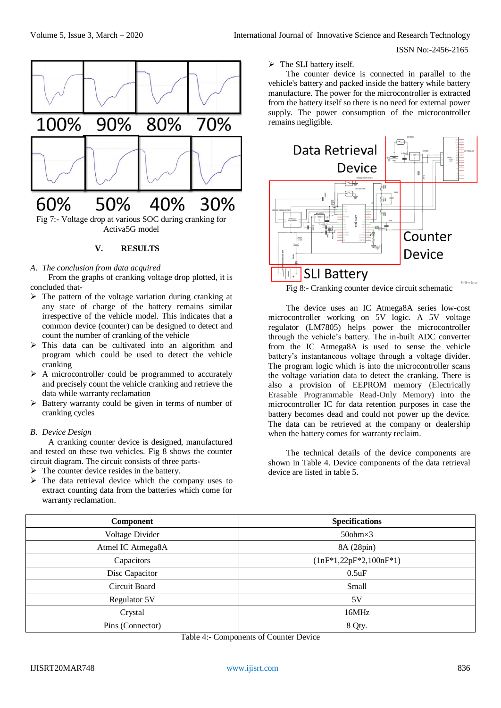

### *A. The conclusion from data acquired*

From the graphs of cranking voltage drop plotted, it is concluded that-

- $\triangleright$  The pattern of the voltage variation during cranking at any state of charge of the battery remains similar irrespective of the vehicle model. This indicates that a common device (counter) can be designed to detect and count the number of cranking of the vehicle
- $\triangleright$  This data can be cultivated into an algorithm and program which could be used to detect the vehicle cranking
- $\triangleright$  A microcontroller could be programmed to accurately and precisely count the vehicle cranking and retrieve the data while warranty reclamation
- $\triangleright$  Battery warranty could be given in terms of number of cranking cycles

# *B. Device Design*

A cranking counter device is designed, manufactured and tested on these two vehicles. Fig 8 shows the counter circuit diagram. The circuit consists of three parts-

- $\triangleright$  The counter device resides in the battery.
- $\triangleright$  The data retrieval device which the company uses to extract counting data from the batteries which come for warranty reclamation.

 $\triangleright$  The SLI battery itself.

The counter device is connected in parallel to the vehicle's battery and packed inside the battery while battery manufacture. The power for the microcontroller is extracted from the battery itself so there is no need for external power supply. The power consumption of the microcontroller remains negligible.



Fig 8:- Cranking counter device circuit schematic

The device uses an IC Atmega8A series low-cost microcontroller working on 5V logic. A 5V voltage regulator (LM7805) helps power the microcontroller through the vehicle's battery. The in-built ADC converter from the IC Atmega8A is used to sense the vehicle battery's instantaneous voltage through a voltage divider. The program logic which is into the microcontroller scans the voltage variation data to detect the cranking. There is also a provision of EEPROM memory (Electrically Erasable Programmable Read-Only Memory) into the microcontroller IC for data retention purposes in case the battery becomes dead and could not power up the device. The data can be retrieved at the company or dealership when the battery comes for warranty reclaim.

The technical details of the device components are shown in Table 4. Device components of the data retrieval device are listed in table 5.

| <b>Component</b>  | <b>Specifications</b>    |
|-------------------|--------------------------|
| Voltage Divider   | $50$ ohm $\times$ 3      |
| Atmel IC Atmega8A | 8A (28pin)               |
| Capacitors        | $(1nF*1,22pF*2,100nF*1)$ |
| Disc Capacitor    | $0.5$ uF                 |
| Circuit Board     | Small                    |
| Regulator 5V      | 5V                       |
| Crystal           | 16MHz                    |
| Pins (Connector)  | 8 Qty.                   |
|                   |                          |

Table 4:- Components of Counter Device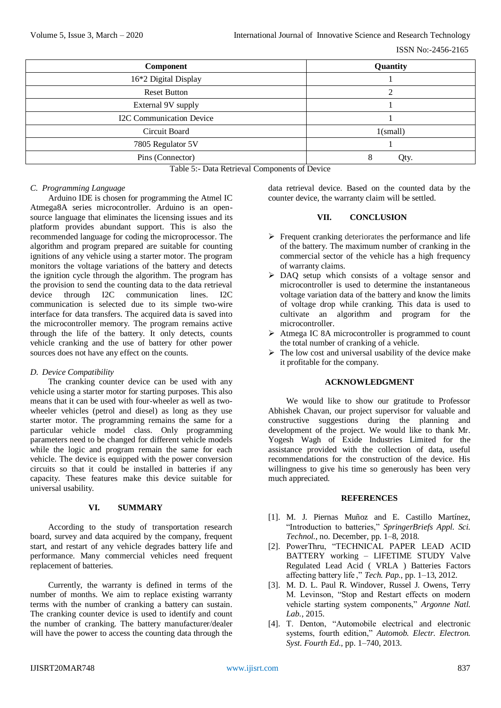| <b>Component</b>                | Quantity    |
|---------------------------------|-------------|
| 16*2 Digital Display            |             |
| <b>Reset Button</b>             | ◠           |
| External 9V supply              |             |
| <b>I2C Communication Device</b> |             |
| Circuit Board                   | $1$ (small) |
| 7805 Regulator 5V               |             |
| Pins (Connector)                | Qty.        |

Table 5:- Data Retrieval Components of Device

# *C. Programming Language*

Arduino IDE is chosen for programming the Atmel IC Atmega8A series microcontroller. Arduino is an opensource language that eliminates the licensing issues and its platform provides abundant support. This is also the recommended language for coding the microprocessor. The algorithm and program prepared are suitable for counting ignitions of any vehicle using a starter motor. The program monitors the voltage variations of the battery and detects the ignition cycle through the algorithm. The program has the provision to send the counting data to the data retrieval device through I2C communication lines. I2C communication is selected due to its simple two-wire interface for data transfers. The acquired data is saved into the microcontroller memory. The program remains active through the life of the battery. It only detects, counts vehicle cranking and the use of battery for other power sources does not have any effect on the counts.

# *D. Device Compatibility*

The cranking counter device can be used with any vehicle using a starter motor for starting purposes. This also means that it can be used with four-wheeler as well as twowheeler vehicles (petrol and diesel) as long as they use starter motor. The programming remains the same for a particular vehicle model class. Only programming parameters need to be changed for different vehicle models while the logic and program remain the same for each vehicle. The device is equipped with the power conversion circuits so that it could be installed in batteries if any capacity. These features make this device suitable for universal usability.

# **VI. SUMMARY**

According to the study of transportation research board, survey and data acquired by the company, frequent start, and restart of any vehicle degrades battery life and performance. Many commercial vehicles need frequent replacement of batteries.

Currently, the warranty is defined in terms of the number of months. We aim to replace existing warranty terms with the number of cranking a battery can sustain. The cranking counter device is used to identify and count the number of cranking. The battery manufacturer/dealer will have the power to access the counting data through the data retrieval device. Based on the counted data by the counter device, the warranty claim will be settled.

# **VII. CONCLUSION**

- $\triangleright$  Frequent cranking deteriorates the performance and life of the battery. The maximum number of cranking in the commercial sector of the vehicle has a high frequency of warranty claims.
- DAQ setup which consists of a voltage sensor and microcontroller is used to determine the instantaneous voltage variation data of the battery and know the limits of voltage drop while cranking. This data is used to cultivate an algorithm and program for the microcontroller.
- Atmega IC 8A microcontroller is programmed to count the total number of cranking of a vehicle.
- $\triangleright$  The low cost and universal usability of the device make it profitable for the company.

# **ACKNOWLEDGMENT**

We would like to show our gratitude to Professor Abhishek Chavan, our project supervisor for valuable and constructive suggestions during the planning and development of the project. We would like to thank Mr. Yogesh Wagh of Exide Industries Limited for the assistance provided with the collection of data, useful recommendations for the construction of the device. His willingness to give his time so generously has been very much appreciated.

# **REFERENCES**

- [1]. M. J. Piernas Muñoz and E. Castillo Martínez, "Introduction to batteries," *SpringerBriefs Appl. Sci. Technol.*, no. December, pp. 1–8, 2018.
- [2]. PowerThru, "TECHNICAL PAPER LEAD ACID BATTERY working – LIFETIME STUDY Valve Regulated Lead Acid ( VRLA ) Batteries Factors affecting battery life ," *Tech. Pap.*, pp. 1–13, 2012.
- [3]. M. D. L. Paul R. Windover, Russel J. Owens, Terry M. Levinson, "Stop and Restart effects on modern vehicle starting system components," *Argonne Natl. Lab.*, 2015.
- [4]. T. Denton, "Automobile electrical and electronic systems, fourth edition," *Automob. Electr. Electron. Syst. Fourth Ed.*, pp. 1–740, 2013.